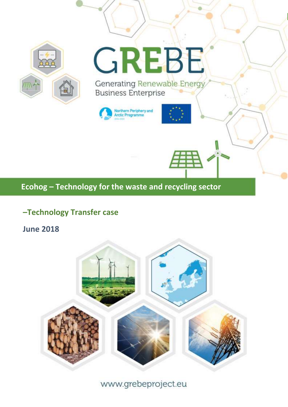

# **–Technology Transfer case**

**June 2018**



www.grebeproject.eu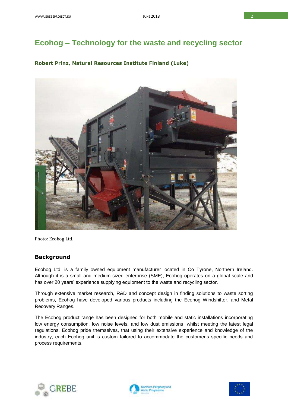# **Ecohog – Technology for the waste and recycling sector**

#### **Robert Prinz, Natural Resources Institute Finland (Luke)**



Photo: Ecohog Ltd.

#### **Background**

Ecohog Ltd. is a family owned equipment manufacturer located in Co Tyrone, Northern Ireland. Although it is a small and medium-sized enterprise (SME), Ecohog operates on a global scale and has over 20 years' experience supplying equipment to the waste and recycling sector.

Through extensive market research, R&D and concept design in finding solutions to waste sorting problems, Ecohog have developed various products including the Ecohog Windshifter, and Metal Recovery Ranges.

The Ecohog product range has been designed for both mobile and static installations incorporating low energy consumption, low noise levels, and low dust emissions, whilst meeting the latest legal regulations. Ecohog pride themselves, that using their extensive experience and knowledge of the industry, each Ecohog unit is custom tailored to accommodate the customer's specific needs and process requirements.





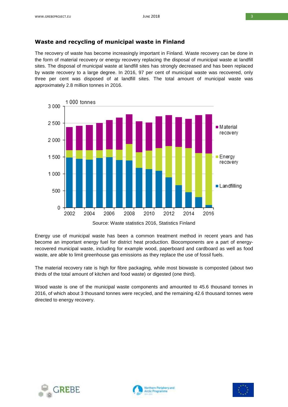### **Waste and recycling of municipal waste in Finland**

The recovery of waste has become increasingly important in Finland. Waste recovery can be done in the form of material recovery or energy recovery replacing the disposal of municipal waste at landfill sites. The disposal of municipal waste at landfill sites has strongly decreased and has been replaced by waste recovery to a large degree. In 2016, 97 per cent of municipal waste was recovered, only three per cent was disposed of at landfill sites. The total amount of municipal waste was approximately 2.8 million tonnes in 2016.





Energy use of municipal waste has been a common treatment method in recent years and has become an important energy fuel for district heat production. Biocomponents are a part of energyrecovered municipal waste, including for example wood, paperboard and cardboard as well as food waste, are able to limit greenhouse gas emissions as they replace the use of fossil fuels.

The material recovery rate is high for fibre packaging, while most biowaste is composted (about two thirds of the total amount of kitchen and food waste) or digested (one third).

Wood waste is one of the municipal waste components and amounted to 45.6 thousand tonnes in 2016, of which about 3 thousand tonnes were recycled, and the remaining 42.6 thousand tonnes were directed to energy recovery.





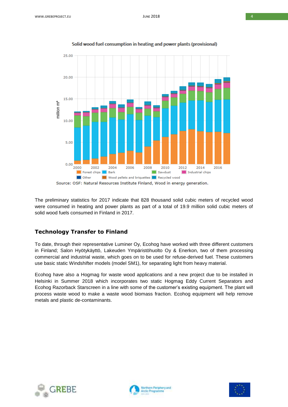

#### Solid wood fuel consumption in heating and power plants (provisional)

The preliminary statistics for 2017 indicate that 828 thousand solid cubic meters of recycled wood were consumed in heating and power plants as part of a total of 19.9 million solid cubic meters of solid wood fuels consumed in Finland in 2017.

#### **Technology Transfer to Finland**

To date, through their representative Luminer Oy, Ecohog have worked with three different customers in Finland; Salon Hyötykäyttö, Lakeuden Ympäristöhuolto Oy & Enerkon, two of them processing commercial and industrial waste, which goes on to be used for refuse-derived fuel. These customers use basic static Windshifter models (model SM1), for separating light from heavy material.

Ecohog have also a Hogmag for waste wood applications and a new project due to be installed in Helsinki in Summer 2018 which incorporates two static Hogmag Eddy Current Separators and Ecohog Razorback Starscreen in a line with some of the customer's existing equipment. The plant will process waste wood to make a waste wood biomass fraction. Ecohog equipment will help remove metals and plastic de-contaminants.





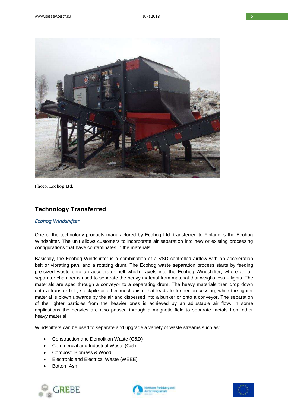

Photo: Ecohog Ltd.

## **Technology Transferred**

#### *Ecohog Windshifter*

One of the technology products manufactured by Ecohog Ltd. transferred to Finland is the Ecohog Windshifter. The unit allows customers to incorporate air separation into new or existing processing configurations that have contaminates in the materials.

Basically, the Ecohog Windshifter is a combination of a VSD controlled airflow with an acceleration belt or vibrating pan, and a rotating drum. The Ecohog waste separation process starts by feeding pre-sized waste onto an accelerator belt which travels into the Ecohog Windshifter, where an air separator chamber is used to separate the heavy material from material that weighs less – lights. The materials are sped through a conveyor to a separating drum. The heavy materials then drop down onto a transfer belt, stockpile or other mechanism that leads to further processing; while the lighter material is blown upwards by the air and dispersed into a bunker or onto a conveyor. The separation of the lighter particles from the heavier ones is achieved by an adjustable air flow. In some applications the heavies are also passed through a magnetic field to separate metals from other heavy material.

Windshifters can be used to separate and upgrade a variety of waste streams such as:

- Construction and Demolition Waste (C&D)
- Commercial and Industrial Waste (C&I)
- Compost, Biomass & Wood
- Electronic and Electrical Waste (WEEE)
- Bottom Ash





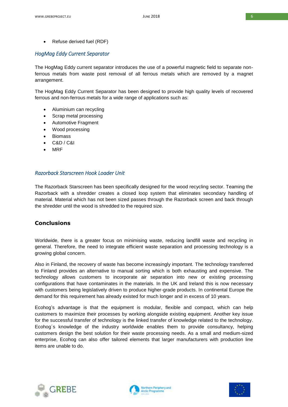• Refuse derived fuel (RDF)

#### *HogMag Eddy Current Separator*

The HogMag Eddy current separator introduces the use of a powerful magnetic field to separate nonferrous metals from waste post removal of all ferrous metals which are removed by a magnet arrangement.

The HogMag Eddy Current Separator has been designed to provide high quality levels of recovered ferrous and non-ferrous metals for a wide range of applications such as:

- Aluminium can recycling
- Scrap metal processing
- Automotive Fragment
- Wood processing
- Biomass
- $CAD / CRI$
- MRF

#### *Razorback Starscreen Hook Loader Unit*

The Razorback Starscreen has been specifically designed for the wood recycling sector. Teaming the Razorback with a shredder creates a closed loop system that eliminates secondary handling of material. Material which has not been sized passes through the Razorback screen and back through the shredder until the wood is shredded to the required size.

## **Conclusions**

Worldwide, there is a greater focus on minimising waste, reducing landfill waste and recycling in general. Therefore, the need to integrate efficient waste separation and processing technology is a growing global concern.

Also in Finland, the recovery of waste has become increasingly important. The technology transferred to Finland provides an alternative to manual sorting which is both exhausting and expensive. The technology allows customers to incorporate air separation into new or existing processing configurations that have contaminates in the materials. In the UK and Ireland this is now necessary with customers being legislatively driven to produce higher-grade products. In continental Europe the demand for this requirement has already existed for much longer and in excess of 10 years.

Ecohog's advantage is that the equipment is modular, flexible and compact, which can help customers to maximize their processes by working alongside existing equipment. Another key issue for the successful transfer of technology is the linked transfer of knowledge related to the technology. Ecohog´s knowledge of the industry worldwide enables them to provide consultancy, helping customers design the best solution for their waste processing needs. As a small and medium-sized enterprise, Ecohog can also offer tailored elements that larger manufacturers with production line items are unable to do.





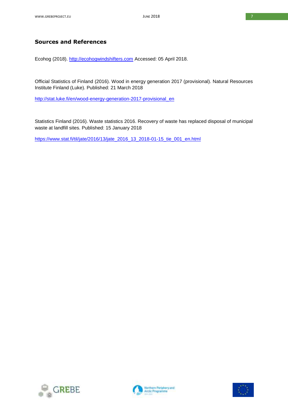## **Sources and References**

Ecohog (2018). [http://ecohogwindshifters.com](http://ecohogwindshifters.com/) Accessed: 05 April 2018.

Official Statistics of Finland (2016). Wood in energy generation 2017 (provisional). Natural Resources Institute Finland (Luke). Published: 21 March 2018

[http://stat.luke.fi/en/wood-energy-generation-2017-provisional\\_en](http://stat.luke.fi/en/wood-energy-generation-2017-provisional_en)

Statistics Finland (2016). Waste statistics 2016. Recovery of waste has replaced disposal of municipal waste at landfill sites. Published: 15 January 2018

[https://www.stat.fi/til/jate/2016/13/jate\\_2016\\_13\\_2018-01-15\\_tie\\_001\\_en.html](https://www.stat.fi/til/jate/2016/13/jate_2016_13_2018-01-15_tie_001_en.html)